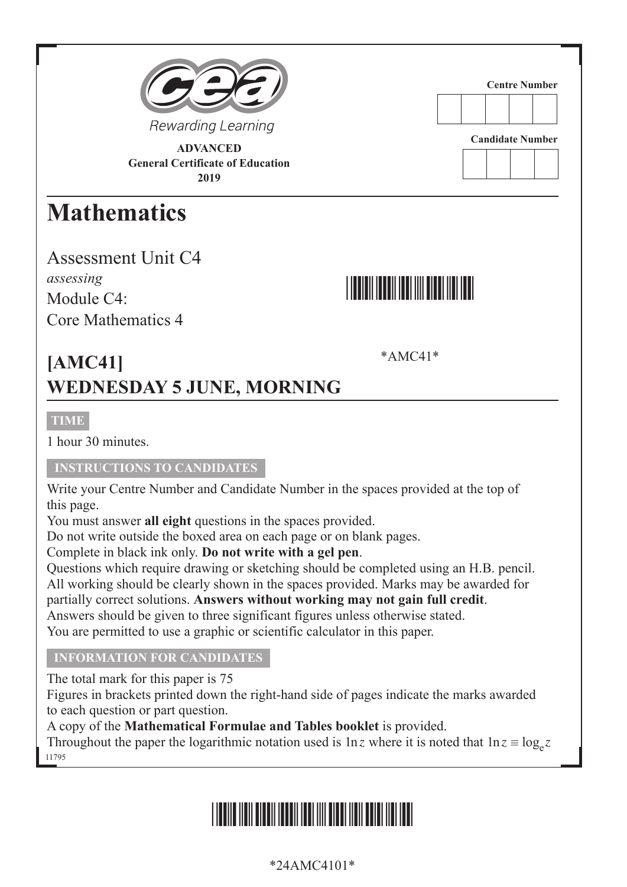

**ADVANCED General Certificate of Education 2019**

# **Mathematics**

Assessment Unit C4 *assessing* Module C4: Core Mathematics 4

# <u>\*AMC411\*AMC411\*AMC411</u>

**Centre Number**

**Candidate Number**

\*AMC41\*

# **[AMC41] WEDNESDAY 5 JUNE, MORNING**

### **TIME**

1 hour 30 minutes.

### **INSTRUCTIONS TO CANDIDATES**

Write your Centre Number and Candidate Number in the spaces provided at the top of this page.

You must answer **all eight** questions in the spaces provided.

Do not write outside the boxed area on each page or on blank pages.

Complete in black ink only. **Do not write with a gel pen**.

Questions which require drawing or sketching should be completed using an H.B. pencil. All working should be clearly shown in the spaces provided. Marks may be awarded for partially correct solutions. **Answers without working may not gain full credit**. Answers should be given to three significant figures unless otherwise stated.

You are permitted to use a graphic or scientific calculator in this paper.

### **INFORMATION FOR CANDIDATES**

The total mark for this paper is 75

Figures in brackets printed down the right-hand side of pages indicate the marks awarded to each question or part question.

A copy of the **Mathematical Formulae and Tables booklet** is provided.

11795 Throughout the paper the logarithmic notation used is  $\ln z$  where it is noted that  $\ln z \equiv \log_{2} z$ 

# \*24AMC4101\*

### \*24AMC4101\*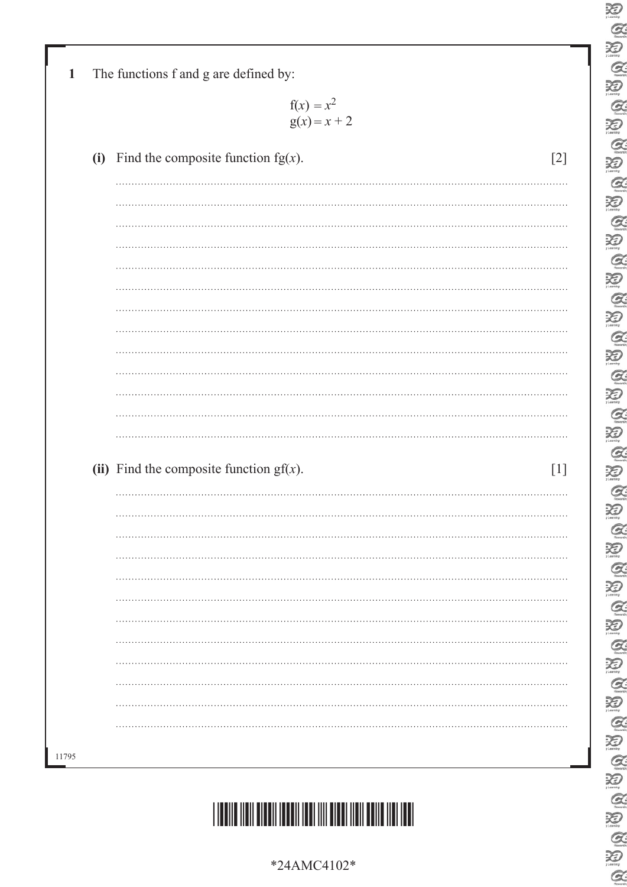| $\mathbf{1}$ |     | The functions f and g are defined by:               |
|--------------|-----|-----------------------------------------------------|
|              |     | $f(x) = x^2$<br>g(x) = x + 2                        |
|              | (i) | Find the composite function $fg(x)$ .<br>$[2]$      |
|              |     |                                                     |
|              |     |                                                     |
|              |     |                                                     |
|              |     |                                                     |
|              |     |                                                     |
|              |     |                                                     |
|              |     |                                                     |
|              |     |                                                     |
|              |     |                                                     |
|              |     | (ii) Find the composite function $gf(x)$ .<br>$[1]$ |
|              |     |                                                     |
|              |     |                                                     |
|              |     |                                                     |
|              |     |                                                     |
|              |     |                                                     |
|              |     |                                                     |
|              |     |                                                     |
|              |     |                                                     |
|              |     |                                                     |
| 11795        |     |                                                     |



\*24AMC4102\*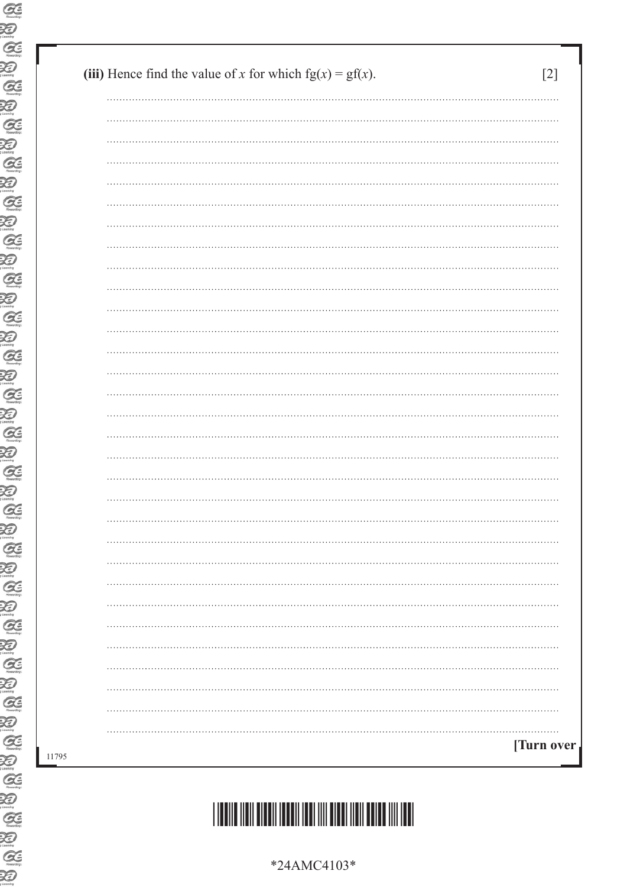| (iii) Hence find the value of x for which $fg(x) = gf(x)$ . |  |  |  | $\lceil 2 \rceil$ |
|-------------------------------------------------------------|--|--|--|-------------------|
|                                                             |  |  |  |                   |
|                                                             |  |  |  |                   |
|                                                             |  |  |  |                   |
|                                                             |  |  |  |                   |
|                                                             |  |  |  |                   |
|                                                             |  |  |  |                   |
|                                                             |  |  |  |                   |
|                                                             |  |  |  |                   |
|                                                             |  |  |  |                   |
|                                                             |  |  |  |                   |
|                                                             |  |  |  |                   |
|                                                             |  |  |  |                   |
|                                                             |  |  |  |                   |
|                                                             |  |  |  |                   |
|                                                             |  |  |  |                   |
|                                                             |  |  |  |                   |
|                                                             |  |  |  |                   |
|                                                             |  |  |  |                   |
|                                                             |  |  |  |                   |
|                                                             |  |  |  |                   |
|                                                             |  |  |  |                   |
|                                                             |  |  |  |                   |
|                                                             |  |  |  |                   |
|                                                             |  |  |  |                   |
|                                                             |  |  |  |                   |
|                                                             |  |  |  |                   |
|                                                             |  |  |  |                   |
|                                                             |  |  |  |                   |
|                                                             |  |  |  |                   |
|                                                             |  |  |  |                   |
|                                                             |  |  |  |                   |
|                                                             |  |  |  |                   |
|                                                             |  |  |  | [Turn over        |

\*24AMC4103\*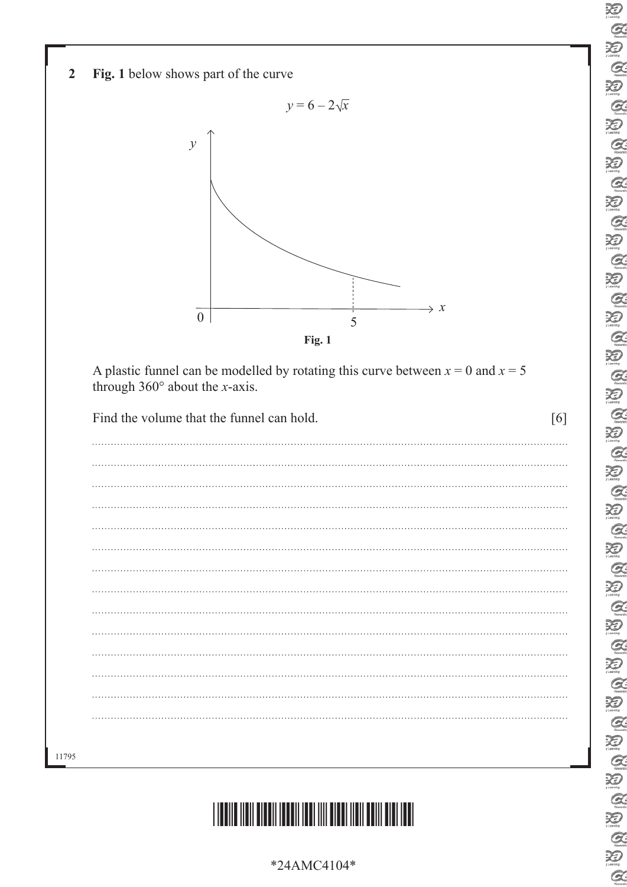|                                               | $y=6-2\sqrt{x}$                           |   |                                                                                     |            |
|-----------------------------------------------|-------------------------------------------|---|-------------------------------------------------------------------------------------|------------|
|                                               |                                           |   |                                                                                     |            |
| $\boldsymbol{0}$                              |                                           | 5 | $\rightarrow x$                                                                     |            |
|                                               | Fig. 1                                    |   |                                                                                     |            |
| through $360^\circ$ about the <i>x</i> -axis. | Find the volume that the funnel can hold. |   | A plastic funnel can be modelled by rotating this curve between $x = 0$ and $x = 5$ |            |
|                                               |                                           |   |                                                                                     |            |
|                                               |                                           |   |                                                                                     |            |
|                                               |                                           |   |                                                                                     | .          |
|                                               |                                           |   |                                                                                     |            |
|                                               |                                           |   |                                                                                     | . <b>.</b> |
|                                               |                                           |   |                                                                                     |            |
|                                               |                                           |   |                                                                                     |            |
|                                               |                                           |   |                                                                                     |            |
|                                               |                                           |   |                                                                                     |            |
|                                               |                                           |   |                                                                                     | .          |



\*24AMC4104\*

 $Q$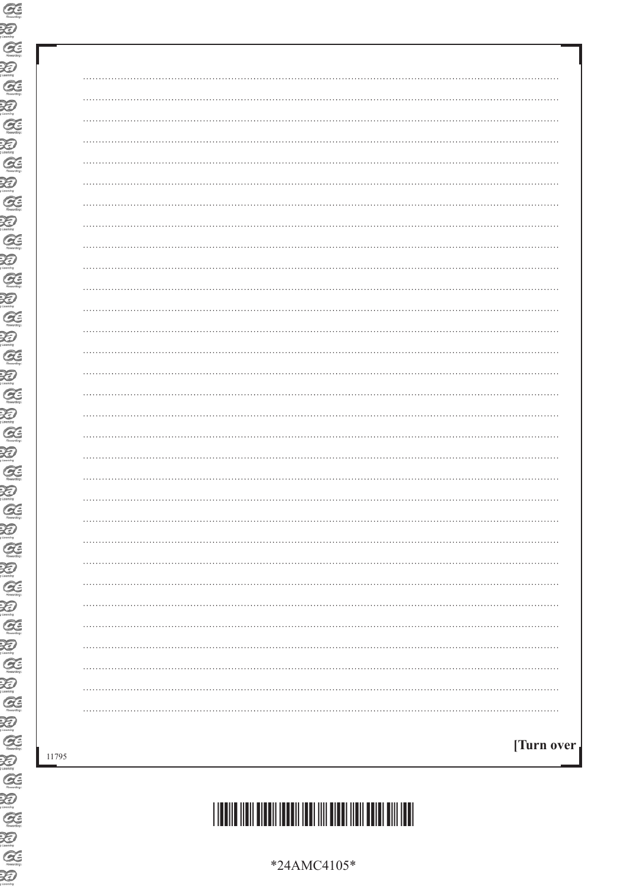| .<br>.<br>.                               |          |
|-------------------------------------------|----------|
|                                           |          |
|                                           | $\cdots$ |
|                                           |          |
|                                           |          |
|                                           | $\cdots$ |
| $\begin{bmatrix} Turn over \end{bmatrix}$ |          |
|                                           |          |
|                                           | $\cdots$ |
|                                           |          |
|                                           |          |
|                                           |          |
|                                           |          |
|                                           |          |
|                                           |          |
|                                           |          |
|                                           |          |
|                                           |          |
|                                           |          |
|                                           | $\cdots$ |
|                                           | $\cdots$ |
|                                           |          |
|                                           |          |
|                                           |          |
|                                           |          |
|                                           |          |
|                                           |          |
|                                           |          |
|                                           |          |
|                                           |          |
|                                           |          |
|                                           |          |

# \*24AMC4105\*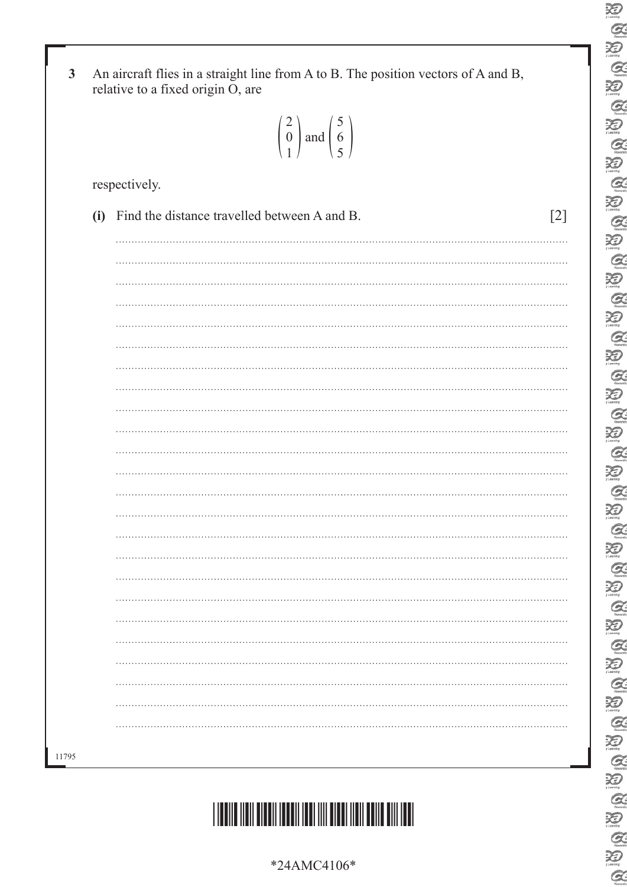| $\mathbf{3}$ |     | An aircraft flies in a straight line from A to B. The position vectors of A and B,<br>relative to a fixed origin O, are |
|--------------|-----|-------------------------------------------------------------------------------------------------------------------------|
|              |     | $\begin{pmatrix} 2 \\ 0 \\ 1 \end{pmatrix}$ and $\begin{pmatrix} 5 \\ 6 \\ 5 \end{pmatrix}$                             |
|              |     | respectively.                                                                                                           |
|              | (i) | Find the distance travelled between A and B.<br>$[2]$                                                                   |
|              |     |                                                                                                                         |
|              |     |                                                                                                                         |
|              |     |                                                                                                                         |
|              |     |                                                                                                                         |
|              |     |                                                                                                                         |
|              |     |                                                                                                                         |
|              |     |                                                                                                                         |
|              |     |                                                                                                                         |
|              |     |                                                                                                                         |
|              |     |                                                                                                                         |
|              |     |                                                                                                                         |
|              |     |                                                                                                                         |
|              |     |                                                                                                                         |
|              |     |                                                                                                                         |
| 11795        |     |                                                                                                                         |



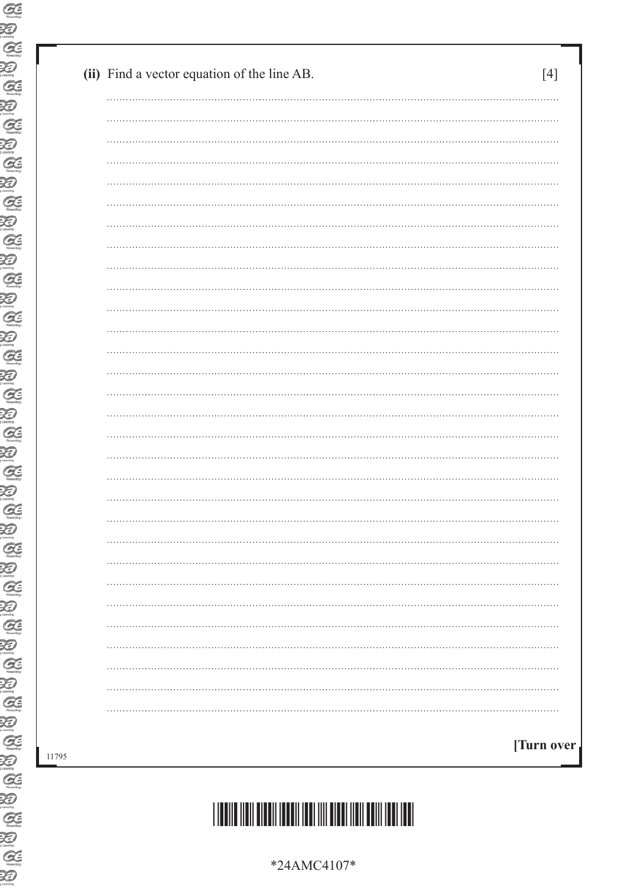| (ii) Find a vector equation of the line AB. |  |  |  |  |            | $[4]$ |
|---------------------------------------------|--|--|--|--|------------|-------|
|                                             |  |  |  |  |            |       |
|                                             |  |  |  |  |            |       |
|                                             |  |  |  |  |            |       |
|                                             |  |  |  |  |            |       |
|                                             |  |  |  |  |            |       |
|                                             |  |  |  |  |            |       |
|                                             |  |  |  |  |            |       |
|                                             |  |  |  |  |            |       |
|                                             |  |  |  |  |            |       |
|                                             |  |  |  |  |            |       |
|                                             |  |  |  |  |            |       |
|                                             |  |  |  |  |            |       |
|                                             |  |  |  |  |            |       |
|                                             |  |  |  |  |            |       |
|                                             |  |  |  |  |            |       |
|                                             |  |  |  |  |            |       |
|                                             |  |  |  |  |            |       |
|                                             |  |  |  |  |            |       |
|                                             |  |  |  |  |            |       |
|                                             |  |  |  |  |            |       |
|                                             |  |  |  |  |            |       |
|                                             |  |  |  |  |            |       |
|                                             |  |  |  |  |            |       |
|                                             |  |  |  |  |            |       |
|                                             |  |  |  |  |            |       |
|                                             |  |  |  |  |            |       |
|                                             |  |  |  |  |            |       |
|                                             |  |  |  |  |            |       |
|                                             |  |  |  |  |            |       |
|                                             |  |  |  |  |            |       |
|                                             |  |  |  |  |            |       |
|                                             |  |  |  |  |            |       |
|                                             |  |  |  |  |            |       |
|                                             |  |  |  |  |            |       |
|                                             |  |  |  |  | [Turn over |       |
|                                             |  |  |  |  |            |       |

\*24AMC4107\*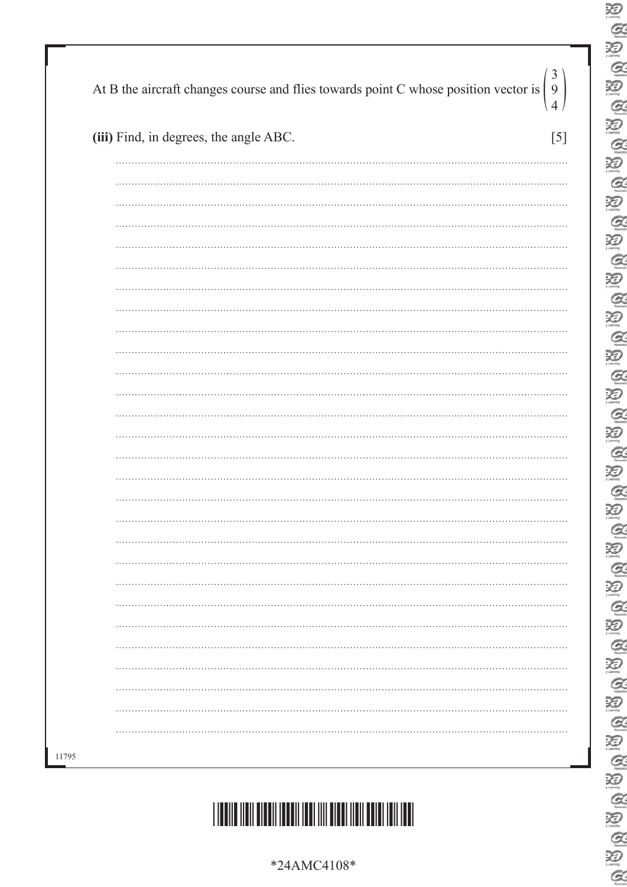# \*24AMC4108\*

| (iii) Find, in degrees, the angle ABC. |
|----------------------------------------|
|                                        |
|                                        |
|                                        |
|                                        |
|                                        |
|                                        |
|                                        |
|                                        |
|                                        |
|                                        |
|                                        |
| $\cdots$                               |
|                                        |
|                                        |
|                                        |
|                                        |
|                                        |
|                                        |
|                                        |
|                                        |
|                                        |
|                                        |
|                                        |
|                                        |
|                                        |
|                                        |
|                                        |
|                                        |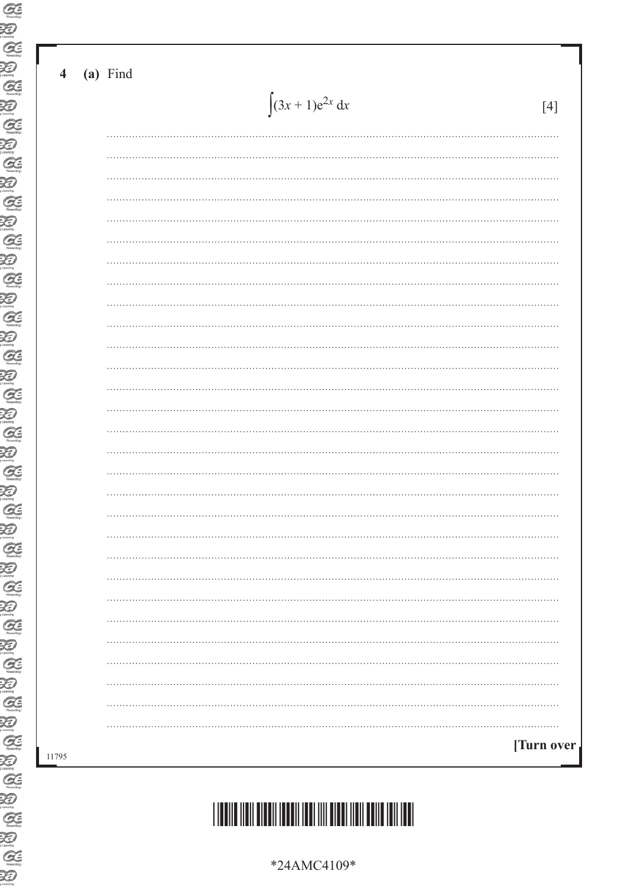### **4 (a)** Find

| $[4]$ | $\int (3x+1)e^{2x} dx$ |
|-------|------------------------|
|       |                        |
|       |                        |
|       |                        |
|       |                        |
|       |                        |
|       |                        |
|       |                        |
|       |                        |
|       |                        |
|       |                        |
|       |                        |
|       |                        |
|       |                        |
|       |                        |
|       |                        |
|       |                        |
|       |                        |
|       |                        |
|       |                        |
|       |                        |
|       |                        |
|       |                        |
|       |                        |
|       |                        |
|       |                        |
|       |                        |
|       |                        |
|       |                        |
|       |                        |

11795

\*24AMC4109\*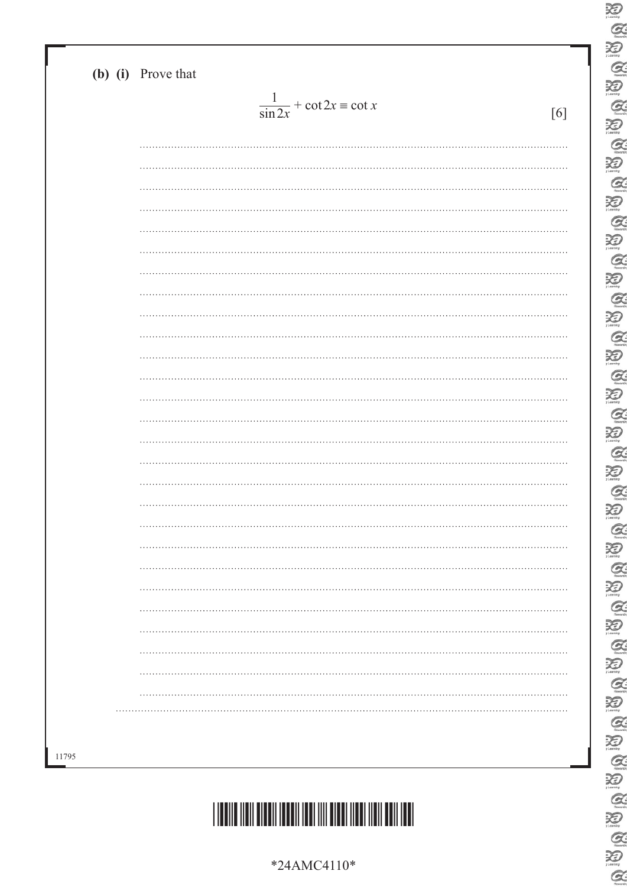| $\frac{1}{\sin 2x} + \cot 2x \equiv \cot x$<br>[6] |
|----------------------------------------------------|
|                                                    |
|                                                    |
|                                                    |
|                                                    |
|                                                    |
|                                                    |
|                                                    |
|                                                    |
|                                                    |
|                                                    |
|                                                    |
|                                                    |
|                                                    |
|                                                    |
|                                                    |
|                                                    |
|                                                    |

E<br>C

E<br>C

泪  $\alpha$  $\sum_{i \text{learning}}$  $\alpha$ 

E

泡

**ABA** 

E<br>Q

 $\overline{\mathcal{D}}$ 

**BBBBB** 

E<br>Q

E

 $\sum_{\text{times}}$  $\alpha$ 

E

E

 $\sum_{n=1}^\infty$  $\alpha$ 酒

E<br>E

U Q U Q

E<br>E

E<br>E

 $Q$ 



\*24AMC4110\*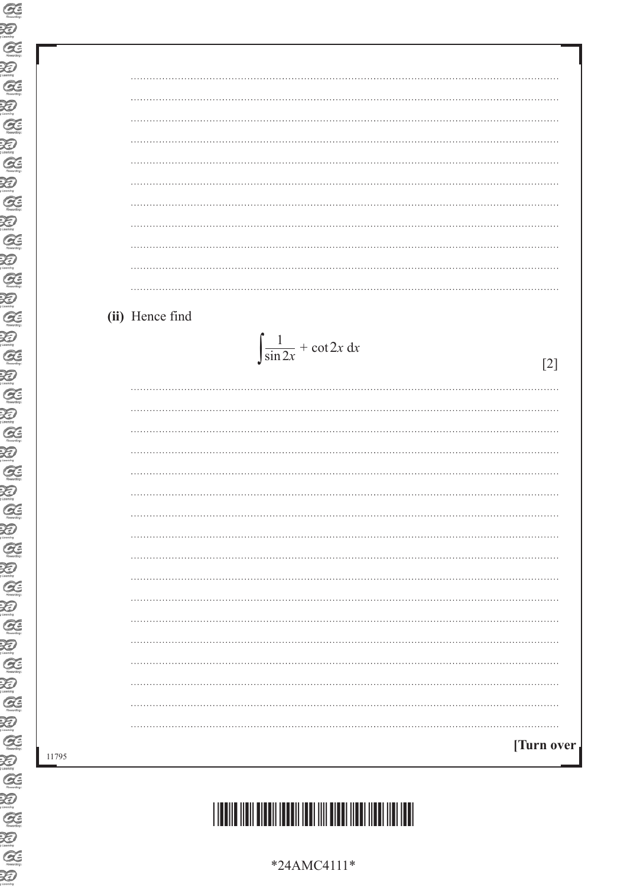\*24AMC4111\*

# 

| (ii) Hence find<br>$\int \frac{1}{\sin 2x}$ + cot 2x dx<br>$[2]$ |
|------------------------------------------------------------------|
|                                                                  |
|                                                                  |
|                                                                  |
|                                                                  |
|                                                                  |
|                                                                  |
|                                                                  |
|                                                                  |
|                                                                  |
|                                                                  |
|                                                                  |
|                                                                  |
|                                                                  |
| [Turn over                                                       |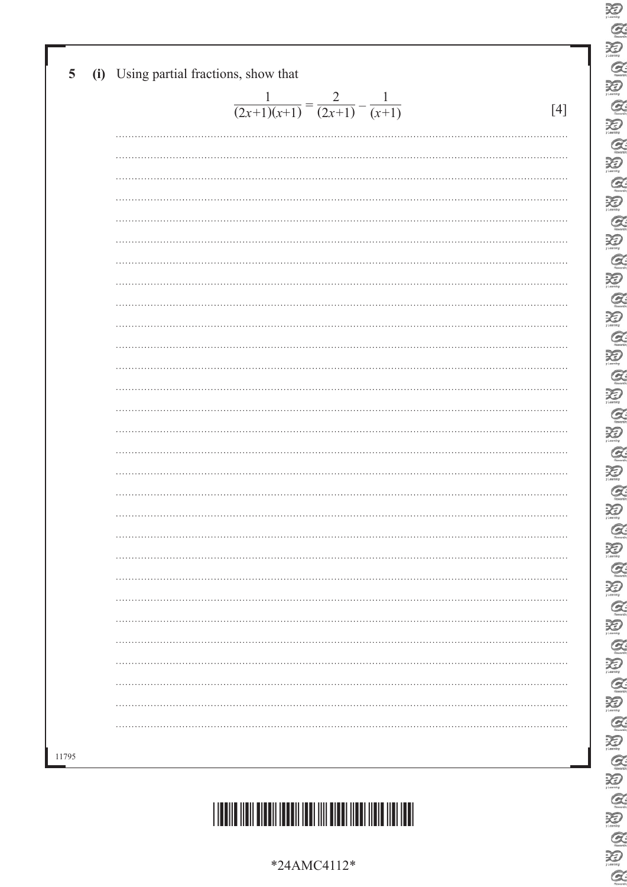| 5     | (i) Using partial fractions, show that                                |
|-------|-----------------------------------------------------------------------|
|       |                                                                       |
|       | $\frac{1}{(2x+1)(x+1)} = \frac{2}{(2x+1)} - \frac{1}{(x+1)}$<br>$[4]$ |
|       |                                                                       |
|       |                                                                       |
|       |                                                                       |
|       |                                                                       |
|       |                                                                       |
|       |                                                                       |
|       |                                                                       |
|       |                                                                       |
|       |                                                                       |
|       |                                                                       |
|       |                                                                       |
|       |                                                                       |
|       |                                                                       |
|       |                                                                       |
|       |                                                                       |
|       |                                                                       |
|       |                                                                       |
|       |                                                                       |
|       |                                                                       |
|       |                                                                       |
|       |                                                                       |
|       |                                                                       |
|       |                                                                       |
|       |                                                                       |
|       |                                                                       |
|       |                                                                       |
|       |                                                                       |
|       |                                                                       |
|       |                                                                       |
| 11795 |                                                                       |

E<br>C

 $\overline{\mathcal{Z}}$  $\alpha$  $\sum_{\text{learning}}$  $\alpha$  $\sum_{i \text{learning}}$  $\alpha$ 

E

泡

E E

 $\alpha$ 

20<br>Q

 $\sum_{n=1}^{\infty}$  $\alpha$ 迴  $\mathcal{Q}$ 

E

 $\sum_{\text{mean}}$  $\alpha$  $\sum_{\text{norm}}$  $\alpha$  $\sum_{n \text{ terms}}$  $\alpha$  $\overline{\mathbf{X}}$  $Q$ 

 $\begin{picture}(20,20) \put(0,0){\line(1,0){155}} \put(15,0){\line(1,0){155}} \put(15,0){\line(1,0){155}} \put(15,0){\line(1,0){155}} \put(15,0){\line(1,0){155}} \put(15,0){\line(1,0){155}} \put(15,0){\line(1,0){155}} \put(15,0){\line(1,0){155}} \put(15,0){\line(1,0){155}} \put(15,0){\line(1,0){155}} \put(15,0){\line(1,0){155}} \$ 

酒  $\alpha$ 迴

E<br>E

**BABA** 

E<br>E

 $\frac{1}{2}$ 

 $\alpha$ 



\*24AMC4112\*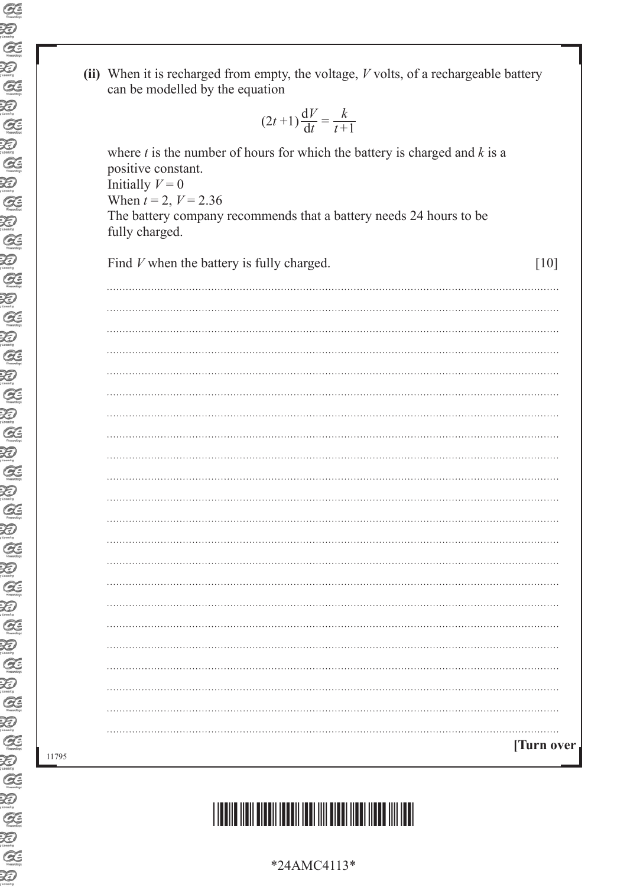- Œ  $\text{\rm Re} \otimes \text{\rm Re} \otimes \text{\rm Re} \otimes \text{\rm Re} \otimes \text{\rm Re} \otimes \text{\rm Re} \otimes \text{\rm Re} \otimes \text{\rm Re} \otimes \text{\rm Re} \otimes \text{\rm Re} \otimes \text{\rm Re} \otimes \text{\rm Re} \otimes \text{\rm Re} \otimes \text{\rm Re} \otimes \text{\rm Re} \otimes \text{\rm Re} \otimes \text{\rm Re} \otimes \text{\rm Re} \otimes \text{\rm Re} \otimes \text{\rm Re} \otimes \text{\rm Re} \otimes \text{\rm Re} \otimes \text{\rm Re} \otimes \text{\rm Re} \otimes \text{\rm$ B<br>E D<br>CE 30<br>30<br>30<br>30 E<br>Q  $\widetilde{\alpha}$ Ð
- **(ii)** When it is recharged from empty, the voltage, *V* volts, of a rechargeable battery can be modelled by the equation

$$
(2t+1)\frac{\mathrm{d}V}{\mathrm{d}t} = \frac{k}{t+1}
$$

 where *t* is the number of hours for which the battery is charged and *k* is a positive constant. Initially  $V = 0$ When  $t = 2$ ,  $V = 2.36$  The battery company recommends that a battery needs 24 hours to be fully charged.

Find *V* when the battery is fully charged. [10]

**[Turn over**

11795

# \*24AMC4113\*

\*24AMC4113\*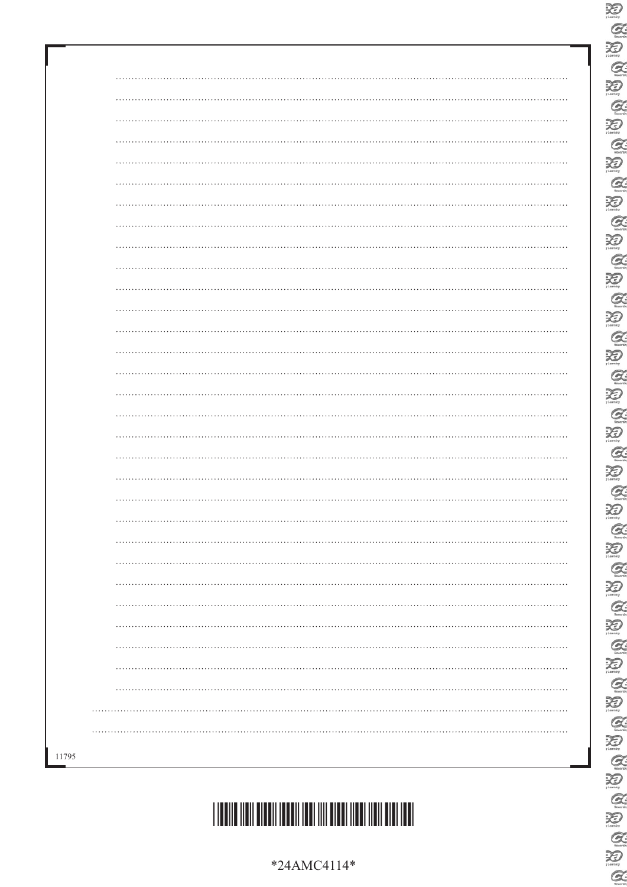\*24AMC4114\*



|       | . |
|-------|---|
|       |   |
|       |   |
|       |   |
|       |   |
|       |   |
|       |   |
|       |   |
|       |   |
|       |   |
|       |   |
|       |   |
|       |   |
|       |   |
|       |   |
|       |   |
|       |   |
|       |   |
|       |   |
|       |   |
|       |   |
|       | . |
|       | . |
|       |   |
|       |   |
|       |   |
|       |   |
|       |   |
|       |   |
|       |   |
|       |   |
|       |   |
|       |   |
|       |   |
|       |   |
|       |   |
| 11795 |   |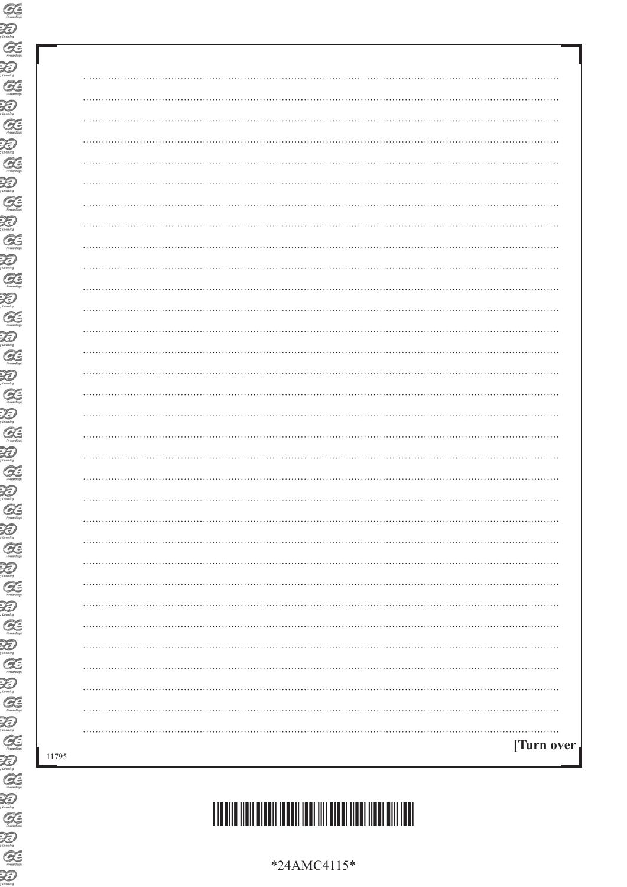| <u>HENRICH HENRICH BEI DER BEI DER BEI DER BEI DER BEI DER BEI DER BEI DER BEI DER BEI DER BEI DER BEI DER BEI D</u> |  |
|----------------------------------------------------------------------------------------------------------------------|--|

| $\cdots$<br>$\cdots$<br>$\cdots$<br>$\cdots$<br>[Turn over<br>11795 |  |
|---------------------------------------------------------------------|--|
|                                                                     |  |
|                                                                     |  |
|                                                                     |  |
|                                                                     |  |
|                                                                     |  |
|                                                                     |  |
|                                                                     |  |
|                                                                     |  |
|                                                                     |  |
|                                                                     |  |
|                                                                     |  |
|                                                                     |  |
|                                                                     |  |
|                                                                     |  |
|                                                                     |  |
|                                                                     |  |
|                                                                     |  |
|                                                                     |  |
|                                                                     |  |
|                                                                     |  |
|                                                                     |  |
|                                                                     |  |
|                                                                     |  |
|                                                                     |  |
|                                                                     |  |
|                                                                     |  |
|                                                                     |  |
|                                                                     |  |
|                                                                     |  |
|                                                                     |  |
|                                                                     |  |
|                                                                     |  |
|                                                                     |  |

\*24AMC4115\*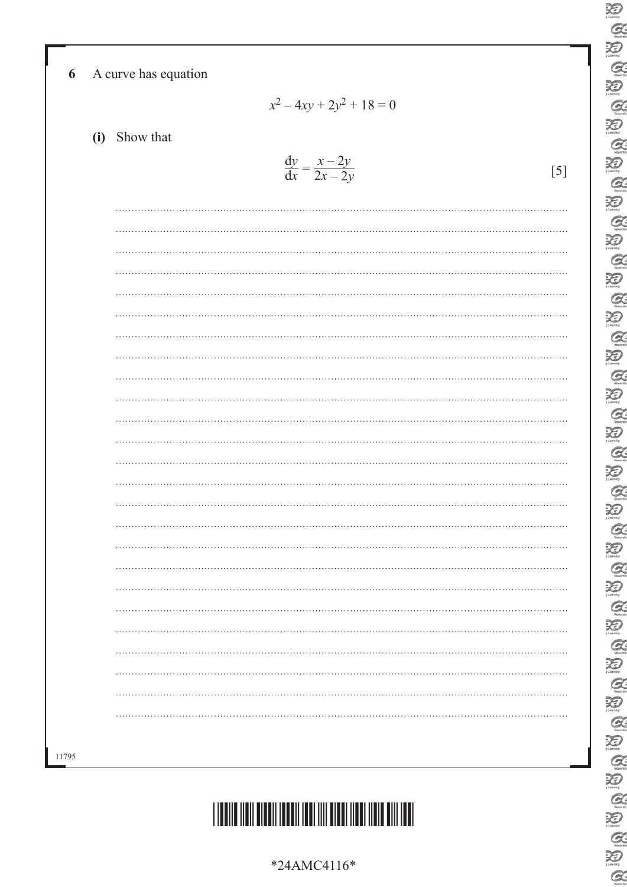| 6     | A curve has equation        |                                                                   |  |  |
|-------|-----------------------------|-------------------------------------------------------------------|--|--|
|       | $x^2 - 4xy + 2y^2 + 18 = 0$ |                                                                   |  |  |
|       |                             | (i) Show that                                                     |  |  |
|       |                             | $\frac{\mathrm{d}y}{\mathrm{d}x} = \frac{x - 2y}{2x - 2y}$<br>[5] |  |  |
|       |                             |                                                                   |  |  |
|       |                             |                                                                   |  |  |
|       |                             |                                                                   |  |  |
|       |                             |                                                                   |  |  |
|       |                             |                                                                   |  |  |
|       |                             |                                                                   |  |  |
|       |                             |                                                                   |  |  |
|       |                             |                                                                   |  |  |
|       |                             |                                                                   |  |  |
|       |                             |                                                                   |  |  |
|       |                             |                                                                   |  |  |
|       |                             |                                                                   |  |  |
|       |                             |                                                                   |  |  |
|       |                             |                                                                   |  |  |
|       |                             | .                                                                 |  |  |
|       |                             |                                                                   |  |  |
|       |                             |                                                                   |  |  |
|       |                             |                                                                   |  |  |
|       |                             |                                                                   |  |  |
|       |                             |                                                                   |  |  |
|       |                             |                                                                   |  |  |
|       |                             |                                                                   |  |  |
|       |                             |                                                                   |  |  |
|       |                             |                                                                   |  |  |
| 11795 |                             |                                                                   |  |  |

E<br>C

E<br>C

 $\sum_{\text{learning}}$  $\alpha$  $\sum_{i \text{learning}}$  $Q$ 

E

**QUEQUE** 

E<br>Q

3

**AUGAUGAU** 

20

**BBBB** 

U Q Q

 $\alpha$ 迴

E<br>E

UGQ UG

E<br>E

 $\frac{1}{2}$ 

 $Q$ 

\*24AMC4116\*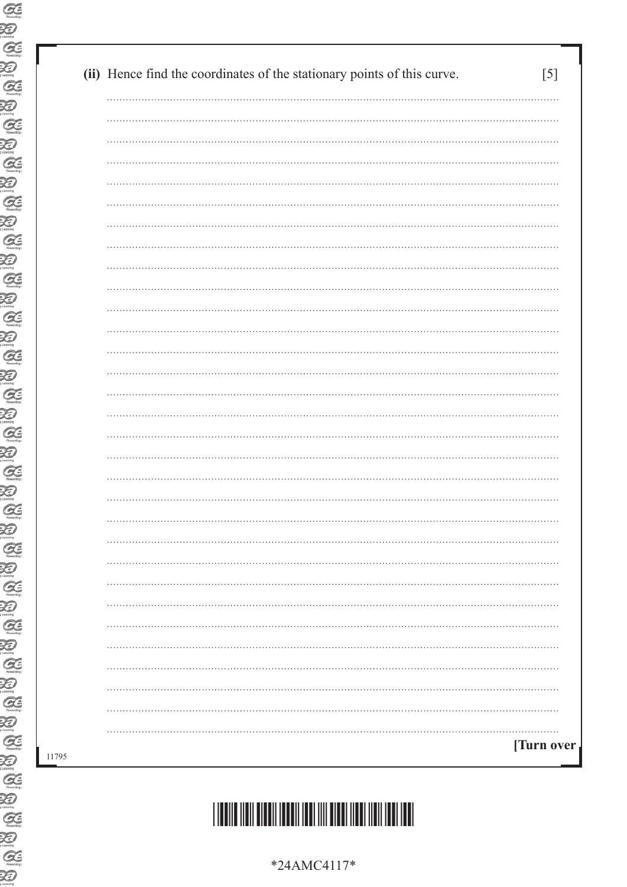| <br>.      |
|------------|
|            |
|            |
|            |
|            |
|            |
|            |
|            |
|            |
|            |
|            |
|            |
|            |
|            |
|            |
| [Turn over |
|            |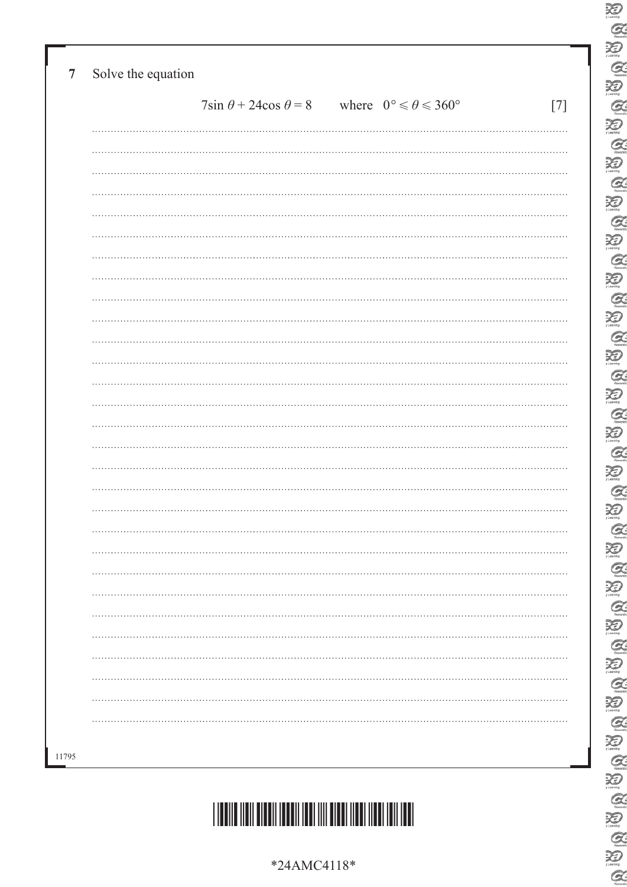|  | $7\sin \theta + 24\cos \theta = 8$ where $0^{\circ} \le \theta \le 360^{\circ}$ | $[7]$ |
|--|---------------------------------------------------------------------------------|-------|
|  |                                                                                 |       |
|  |                                                                                 |       |
|  |                                                                                 |       |
|  |                                                                                 |       |
|  |                                                                                 |       |
|  |                                                                                 |       |
|  |                                                                                 |       |
|  |                                                                                 |       |
|  |                                                                                 |       |
|  |                                                                                 |       |
|  |                                                                                 |       |
|  |                                                                                 |       |
|  |                                                                                 |       |
|  |                                                                                 |       |
|  |                                                                                 |       |
|  |                                                                                 |       |
|  |                                                                                 |       |
|  |                                                                                 |       |
|  |                                                                                 |       |
|  |                                                                                 |       |
|  |                                                                                 |       |
|  |                                                                                 |       |
|  |                                                                                 |       |
|  |                                                                                 |       |
|  |                                                                                 |       |
|  |                                                                                 |       |



\*24AMC4118\*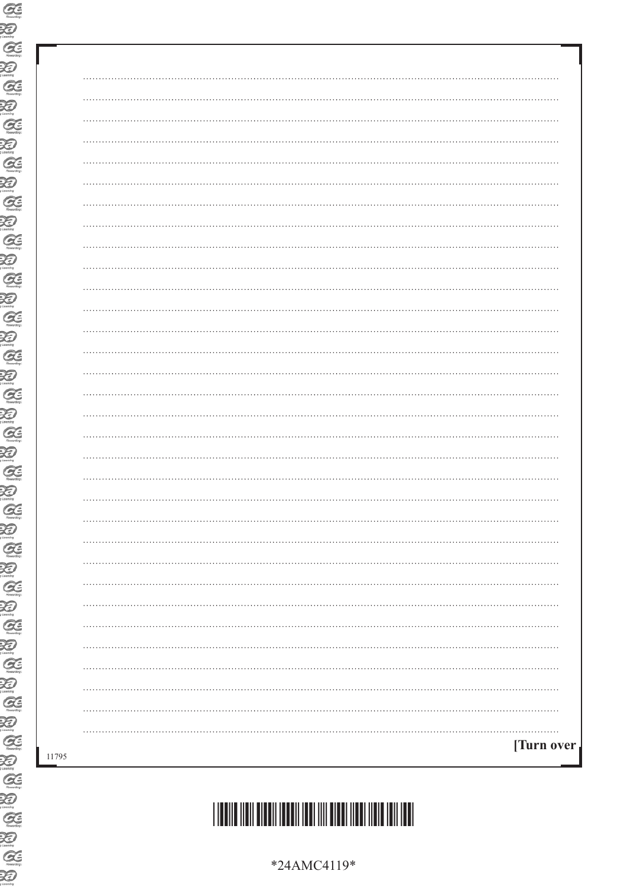| <u> III Martin Martin Martin Martin Martin Martin Martin Martin Martin Martin Martin Martin Martin Martin Martin </u> |  |
|-----------------------------------------------------------------------------------------------------------------------|--|
|-----------------------------------------------------------------------------------------------------------------------|--|

\*24AMC4119\*

 $\overline{\phantom{a}}$ 

|       | .          |
|-------|------------|
| 11795 | [Turn over |
|       |            |

I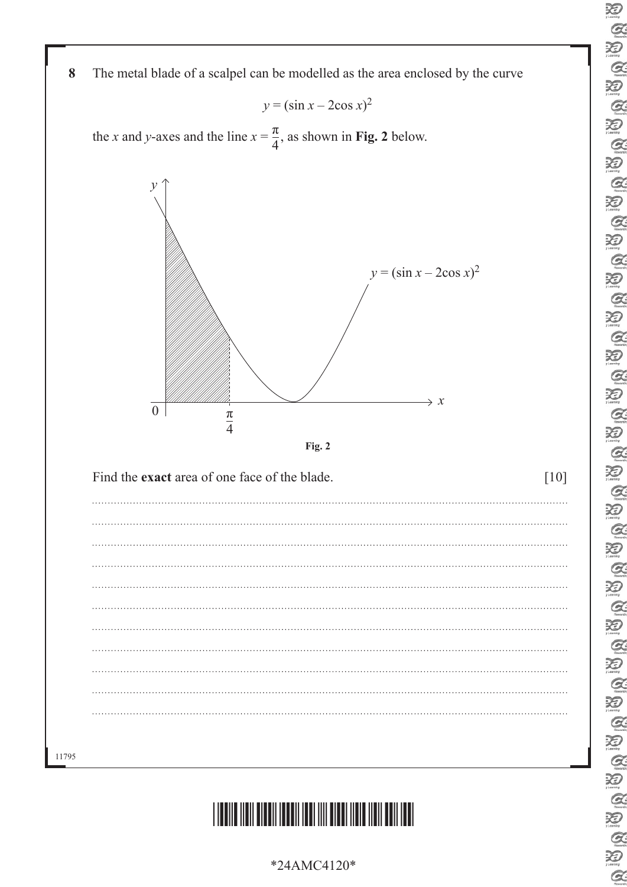

E<br>C

 $\sum_{\mu}$  $\mathcal{Q}$ 泡  $Q$ 泡  $\alpha$  $\sum_{n \text{ terms}}$  $Q$ 泡  $\alpha$ 泡  $\alpha$  $\sum_{n \in \mathbb{N}}$  $\alpha$  $\sum_{i \text{ country}}$  $Q$  $\sum_{\text{learning}}$  $\alpha$ 泡  $\mathcal{Q}$  $\sum_{y \text{ leaving}}$  $\alpha$ 

US A US A US A US A US A US A

B A B A B A

E<br>B

 $\alpha$ 



\*24AMC4120\*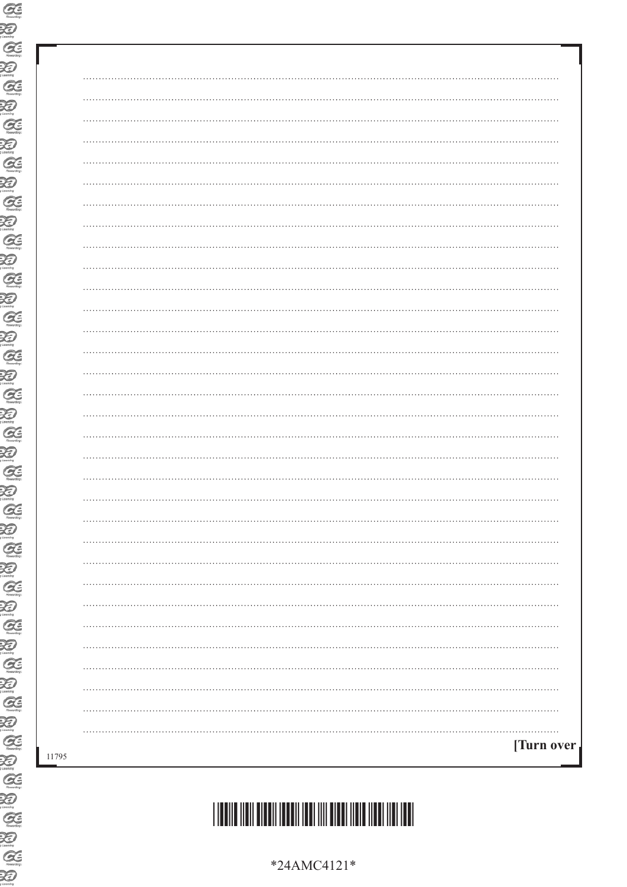|       | . <b>.</b> |
|-------|------------|
| 11795 | [Turn over |
|       |            |

\*24AMC4121\*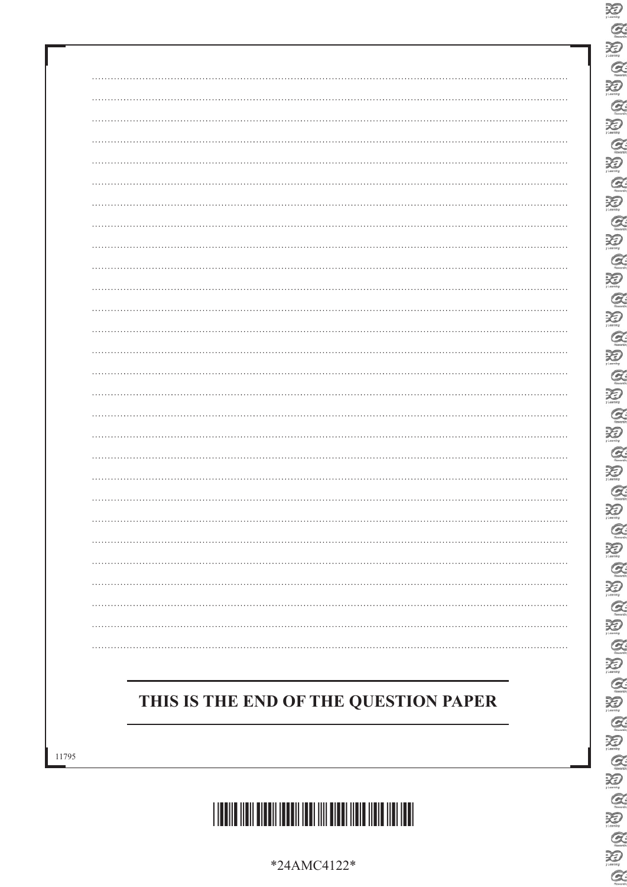\*24AMC4122\*

# \*24AMC4122\*

| THIS IS THE END OF THE QUESTION PAPER |
|---------------------------------------|
|                                       |
|                                       |
|                                       |

 $\sum_{\text{learning}}$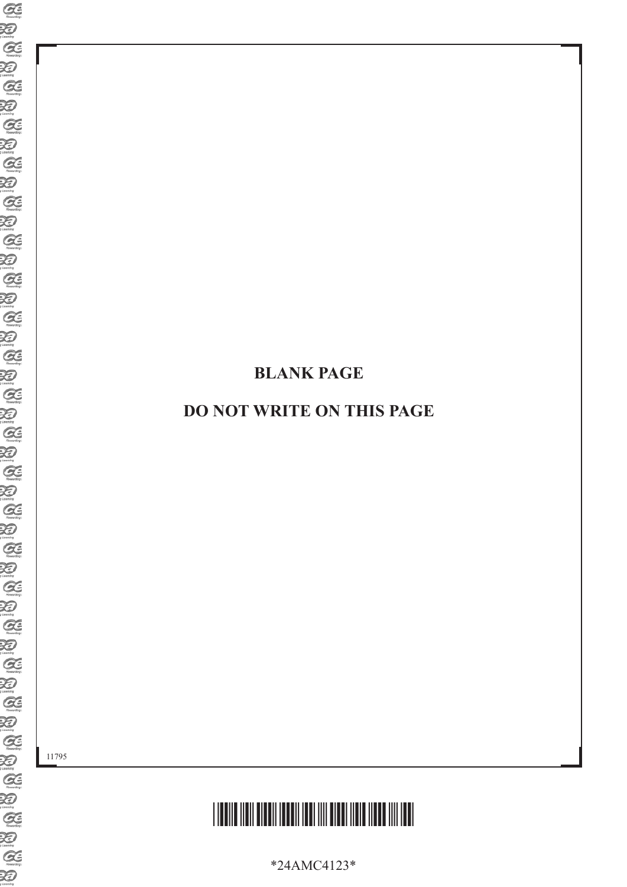## **BLANK PAGE**

### **DO NOT WRITE ON THIS PAGE**

11795



\*24AMC4123\*